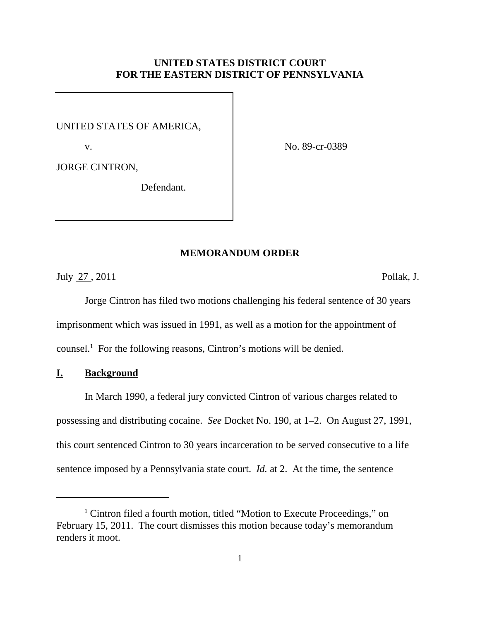# **UNITED STATES DISTRICT COURT FOR THE EASTERN DISTRICT OF PENNSYLVANIA**

UNITED STATES OF AMERICA,

v.

No. 89-cr-0389

JORGE CINTRON,

Defendant.

## **MEMORANDUM ORDER**

July 27 , 2011 Pollak, J.

Jorge Cintron has filed two motions challenging his federal sentence of 30 years imprisonment which was issued in 1991, as well as a motion for the appointment of counsel. <sup>1</sup> For the following reasons, Cintron's motions will be denied.

## **I. Background**

In March 1990, a federal jury convicted Cintron of various charges related to possessing and distributing cocaine. *See* Docket No. 190, at 1–2. On August 27, 1991, this court sentenced Cintron to 30 years incarceration to be served consecutive to a life sentence imposed by a Pennsylvania state court. *Id.* at 2. At the time, the sentence

<sup>&</sup>lt;sup>1</sup> Cintron filed a fourth motion, titled "Motion to Execute Proceedings," on February 15, 2011. The court dismisses this motion because today's memorandum renders it moot.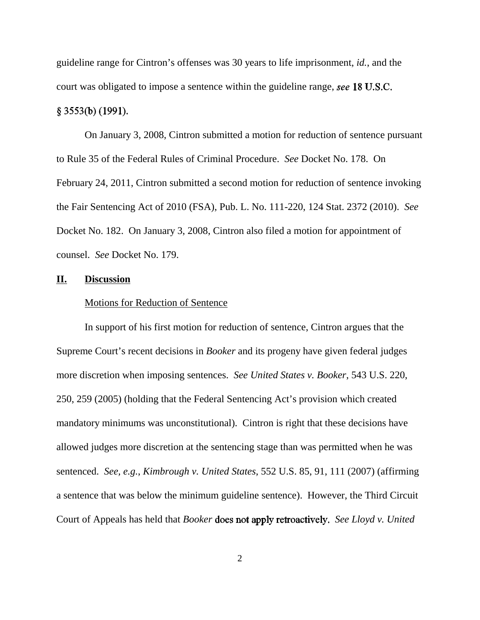guideline range for Cintron's offenses was 30 years to life imprisonment, *id.*, and the court was obligated to impose a sentence within the guideline range, see 18 U.S.C.

# $§$  3553(b) (1991).

On January 3, 2008, Cintron submitted a motion for reduction of sentence pursuant to Rule 35 of the Federal Rules of Criminal Procedure. *See* Docket No. 178. On February 24, 2011, Cintron submitted a second motion for reduction of sentence invoking the Fair Sentencing Act of 2010 (FSA), Pub. L. No. 111-220, 124 Stat. 2372 (2010). *See* Docket No. 182. On January 3, 2008, Cintron also filed a motion for appointment of counsel. *See* Docket No. 179.

#### **II. Discussion**

### Motions for Reduction of Sentence

In support of his first motion for reduction of sentence, Cintron argues that the Supreme Court's recent decisions in *Booker* and its progeny have given federal judges more discretion when imposing sentences. *See United States v. Booker*, 543 U.S. 220, 250, 259 (2005) (holding that the Federal Sentencing Act's provision which created mandatory minimums was unconstitutional). Cintron is right that these decisions have allowed judges more discretion at the sentencing stage than was permitted when he was sentenced. *See, e.g.*, *Kimbrough v. United States*, 552 U.S. 85, 91, 111 (2007) (affirming a sentence that was below the minimum guideline sentence). However, the Third Circuit Court of Appeals has held that *Booker* **does not apply retroactively.** See Lloyd v. United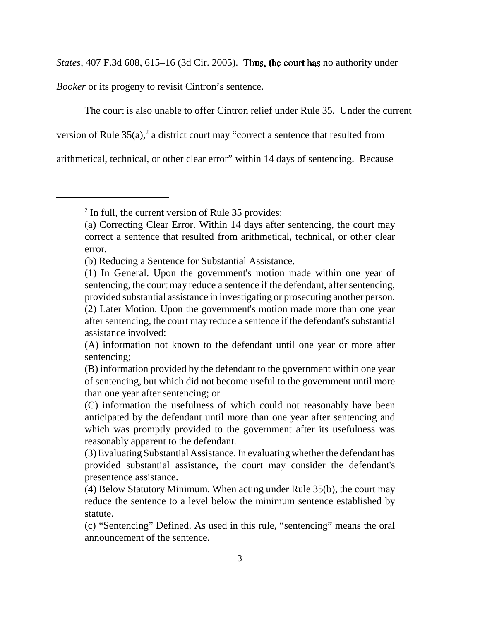*States*, 407 F.3d 608, 615–16 (3d Cir. 2005). Thus, the court has no authority under

*Booker* or its progeny to revisit Cintron's sentence.

The court is also unable to offer Cintron relief under Rule 35. Under the current

version of Rule  $35(a)$ , a district court may "correct a sentence that resulted from

arithmetical, technical, or other clear error" within 14 days of sentencing. Because

<sup>2</sup> In full, the current version of Rule 35 provides:

<sup>(</sup>a) Correcting Clear Error. Within 14 days after sentencing, the court may correct a sentence that resulted from arithmetical, technical, or other clear error.

<sup>(</sup>b) Reducing a Sentence for Substantial Assistance.

<sup>(1)</sup> In General. Upon the government's motion made within one year of sentencing, the court may reduce a sentence if the defendant, after sentencing, provided substantial assistance in investigating or prosecuting another person. (2) Later Motion. Upon the government's motion made more than one year after sentencing, the court may reduce a sentence if the defendant's substantial assistance involved:

<sup>(</sup>A) information not known to the defendant until one year or more after sentencing;

<sup>(</sup>B) information provided by the defendant to the government within one year of sentencing, but which did not become useful to the government until more than one year after sentencing; or

<sup>(</sup>C) information the usefulness of which could not reasonably have been anticipated by the defendant until more than one year after sentencing and which was promptly provided to the government after its usefulness was reasonably apparent to the defendant.

<sup>(3)</sup> Evaluating Substantial Assistance. In evaluating whether the defendant has provided substantial assistance, the court may consider the defendant's presentence assistance.

<sup>(4)</sup> Below Statutory Minimum. When acting under Rule 35(b), the court may reduce the sentence to a level below the minimum sentence established by statute.

<sup>(</sup>c) "Sentencing" Defined. As used in this rule, "sentencing" means the oral announcement of the sentence.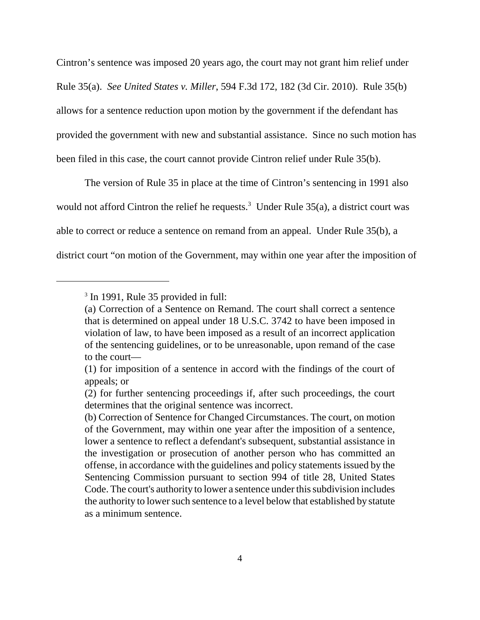Cintron's sentence was imposed 20 years ago, the court may not grant him relief under Rule 35(a). *See United States v. Miller*, 594 F.3d 172, 182 (3d Cir. 2010). Rule 35(b) allows for a sentence reduction upon motion by the government if the defendant has provided the government with new and substantial assistance. Since no such motion has been filed in this case, the court cannot provide Cintron relief under Rule 35(b).

The version of Rule 35 in place at the time of Cintron's sentencing in 1991 also would not afford Cintron the relief he requests.<sup>3</sup> Under Rule  $35(a)$ , a district court was able to correct or reduce a sentence on remand from an appeal. Under Rule 35(b), a district court "on motion of the Government, may within one year after the imposition of

<sup>&</sup>lt;sup>3</sup> In 1991, Rule 35 provided in full:

<sup>(</sup>a) Correction of a Sentence on Remand. The court shall correct a sentence that is determined on appeal under 18 U.S.C. 3742 to have been imposed in violation of law, to have been imposed as a result of an incorrect application of the sentencing guidelines, or to be unreasonable, upon remand of the case to the court—

<sup>(1)</sup> for imposition of a sentence in accord with the findings of the court of appeals; or

<sup>(2)</sup> for further sentencing proceedings if, after such proceedings, the court determines that the original sentence was incorrect.

<sup>(</sup>b) Correction of Sentence for Changed Circumstances. The court, on motion of the Government, may within one year after the imposition of a sentence, lower a sentence to reflect a defendant's subsequent, substantial assistance in the investigation or prosecution of another person who has committed an offense, in accordance with the guidelines and policy statements issued by the Sentencing Commission pursuant to section 994 of title 28, United States Code. The court's authority to lower a sentence under this subdivision includes the authority to lower such sentence to a level below that established by statute as a minimum sentence.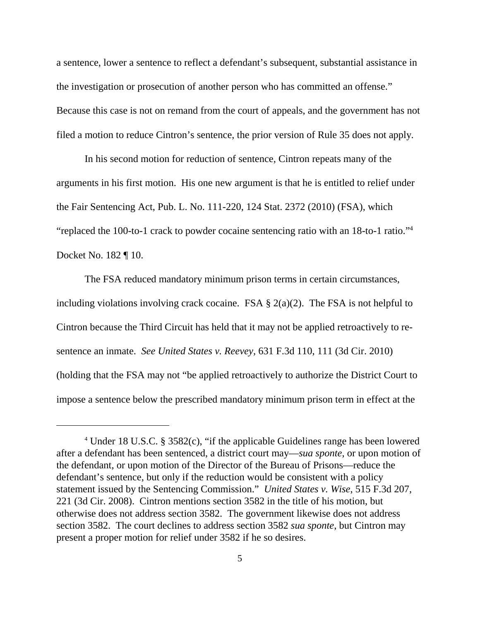a sentence, lower a sentence to reflect a defendant's subsequent, substantial assistance in the investigation or prosecution of another person who has committed an offense." Because this case is not on remand from the court of appeals, and the government has not filed a motion to reduce Cintron's sentence, the prior version of Rule 35 does not apply.

In his second motion for reduction of sentence, Cintron repeats many of the arguments in his first motion. His one new argument is that he is entitled to relief under the Fair Sentencing Act, Pub. L. No. 111-220, 124 Stat. 2372 (2010) (FSA), which "replaced the 100-to-1 crack to powder cocaine sentencing ratio with an 18-to-1 ratio."4 Docket No. 182 ¶ 10.

The FSA reduced mandatory minimum prison terms in certain circumstances, including violations involving crack cocaine. FSA  $\S$  2(a)(2). The FSA is not helpful to Cintron because the Third Circuit has held that it may not be applied retroactively to resentence an inmate. *See United States v. Reevey*, 631 F.3d 110, 111 (3d Cir. 2010) (holding that the FSA may not "be applied retroactively to authorize the District Court to impose a sentence below the prescribed mandatory minimum prison term in effect at the

<sup>4</sup> Under 18 U.S.C. § 3582(c), "if the applicable Guidelines range has been lowered after a defendant has been sentenced, a district court may—*sua sponte*, or upon motion of the defendant, or upon motion of the Director of the Bureau of Prisons—reduce the defendant's sentence, but only if the reduction would be consistent with a policy statement issued by the Sentencing Commission." *United States v. Wise*, 515 F.3d 207, 221 (3d Cir. 2008). Cintron mentions section 3582 in the title of his motion, but otherwise does not address section 3582. The government likewise does not address section 3582. The court declines to address section 3582 *sua sponte*, but Cintron may present a proper motion for relief under 3582 if he so desires.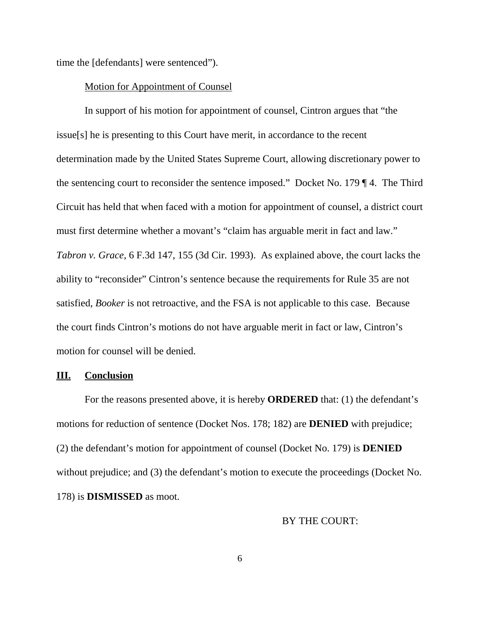time the [defendants] were sentenced").

## Motion for Appointment of Counsel

In support of his motion for appointment of counsel, Cintron argues that "the issue[s] he is presenting to this Court have merit, in accordance to the recent determination made by the United States Supreme Court, allowing discretionary power to the sentencing court to reconsider the sentence imposed." Docket No. 179 ¶ 4. The Third Circuit has held that when faced with a motion for appointment of counsel, a district court must first determine whether a movant's "claim has arguable merit in fact and law." *Tabron v. Grace*, 6 F.3d 147, 155 (3d Cir. 1993). As explained above, the court lacks the ability to "reconsider" Cintron's sentence because the requirements for Rule 35 are not satisfied, *Booker* is not retroactive, and the FSA is not applicable to this case. Because the court finds Cintron's motions do not have arguable merit in fact or law, Cintron's motion for counsel will be denied.

#### **III. Conclusion**

For the reasons presented above, it is hereby **ORDERED** that: (1) the defendant's motions for reduction of sentence (Docket Nos. 178; 182) are **DENIED** with prejudice; (2) the defendant's motion for appointment of counsel (Docket No. 179) is **DENIED** without prejudice; and (3) the defendant's motion to execute the proceedings (Docket No. 178) is **DISMISSED** as moot.

## BY THE COURT: